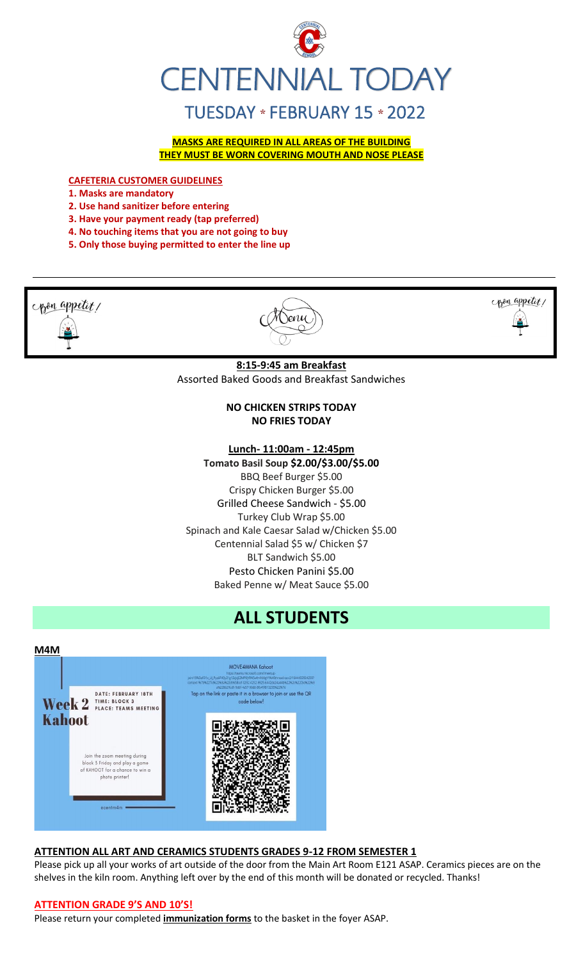

**MASKS ARE REQUIRED IN ALL AREAS OF THE BUILDING THEY MUST BE WORN COVERING MOUTH AND NOSE PLEASE**

**CAFETERIA CUSTOMER GUIDELINES**

**1. Masks are mandatory**

- **2. Use hand sanitizer before entering**
- **3. Have your payment ready (tap preferred)**
- **4. No touching items that you are not going to buy**
- **5. Only those buying permitted to enter the line up**



Pesto Chicken Panini \$5.00 Baked Penne w/ Meat Sauce \$5.00 **ALL STUDENTS**

Spinach and Kale Caesar Salad w/Chicken \$5.00 Centennial Salad \$5 w/ Chicken \$7 BLT Sandwich \$5.00



# **ATTENTION ALL ART AND CERAMICS STUDENTS GRADES 9-12 FROM SEMESTER 1**

Please pick up all your works of art outside of the door from the Main Art Room E121 ASAP. Ceramics pieces are on the shelves in the kiln room. Anything left over by the end of this month will be donated or recycled. Thanks!

### **ATTENTION GRADE 9'S AND 10'S!**

Please return your completed **immunization forms** to the basket in the foyer ASAP.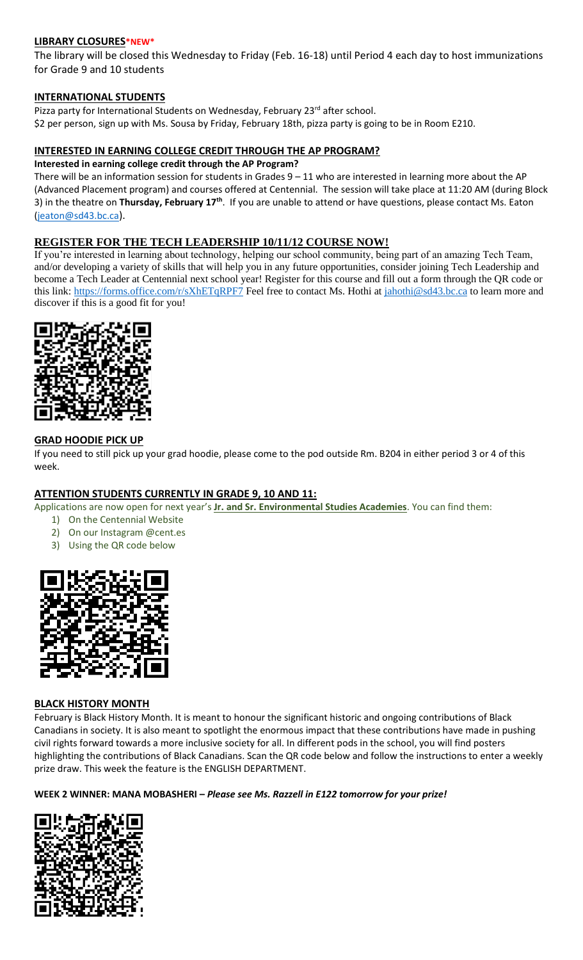### **LIBRARY CLOSURES\*NEW\***

The library will be closed this Wednesday to Friday (Feb. 16-18) until Period 4 each day to host immunizations for Grade 9 and 10 students

### **INTERNATIONAL STUDENTS**

Pizza party for International Students on Wednesday, February 23rd after school. \$2 per person, sign up with Ms. Sousa by Friday, February 18th, pizza party is going to be in Room E210.

### **INTERESTED IN EARNING COLLEGE CREDIT THROUGH THE AP PROGRAM?**

### **Interested in earning college credit through the AP Program?**

There will be an information session for students in Grades  $9 - 11$  who are interested in learning more about the AP (Advanced Placement program) and courses offered at Centennial. The session will take place at 11:20 AM (during Block 3) in the theatre on **Thursday, February 17th** . If you are unable to attend or have questions, please contact Ms. Eaton [\(jeaton@sd43.bc.ca](mailto:jeaton@sd43.bc.ca)).

### **REGISTER FOR THE TECH LEADERSHIP 10/11/12 COURSE NOW!**

If you're interested in learning about technology, helping our school community, being part of an amazing Tech Team, and/or developing a variety of skills that will help you in any future opportunities, consider joining Tech Leadership and become a Tech Leader at Centennial next school year! Register for this course and fill out a form through the QR code or this link:<https://forms.office.com/r/sXhETqRPF7> Feel free to contact Ms. Hothi at [jahothi@sd43.bc.ca](mailto:jahothi@sd43.bc.ca) to learn more and discover if this is a good fit for you!



### **GRAD HOODIE PICK UP**

If you need to still pick up your grad hoodie, please come to the pod outside Rm. B204 in either period 3 or 4 of this week.

### **ATTENTION STUDENTS CURRENTLY IN GRADE 9, 10 AND 11:**

Applications are now open for next year's **Jr. and Sr. Environmental Studies Academies**. You can find them:

- 1) On the Centennial Website
- 2) On our Instagram @cent.es
- 3) Using the QR code below



### **BLACK HISTORY MONTH**

February is Black History Month. It is meant to honour the significant historic and ongoing contributions of Black Canadians in society. It is also meant to spotlight the enormous impact that these contributions have made in pushing civil rights forward towards a more inclusive society for all. In different pods in the school, you will find posters highlighting the contributions of Black Canadians. Scan the QR code below and follow the instructions to enter a weekly prize draw. This week the feature is the ENGLISH DEPARTMENT.

### **WEEK 2 WINNER: MANA MOBASHERI –** *Please see Ms. Razzell in E122 tomorrow for your prize!*

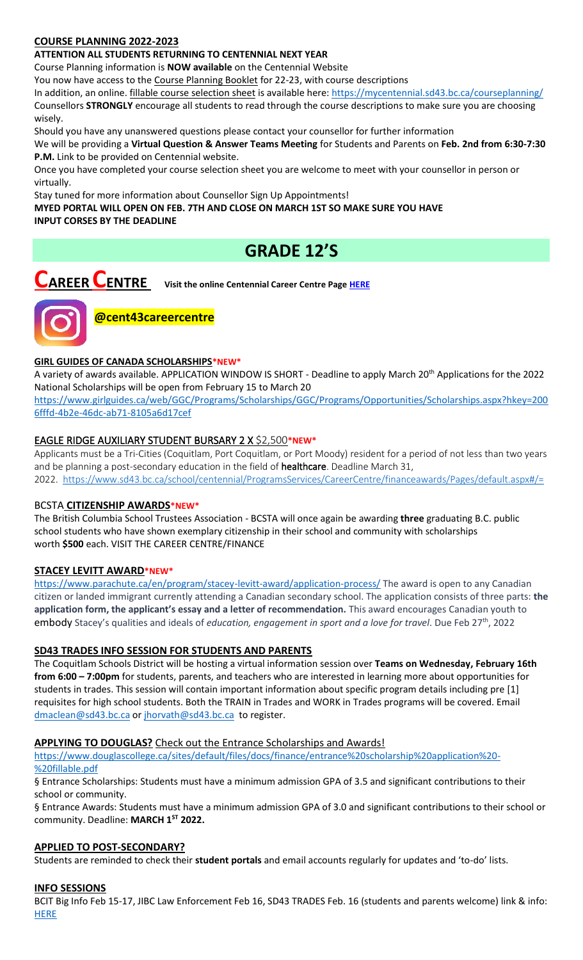# **COURSE PLANNING 2022-2023**

### **ATTENTION ALL STUDENTS RETURNING TO CENTENNIAL NEXT YEAR**

Course Planning information is **NOW available** on the Centennial Website

You now have access to the Course Planning Booklet for 22-23, with course descriptions

In addition, an online. fillable course selection sheet is available here:<https://mycentennial.sd43.bc.ca/courseplanning/> Counsellors **STRONGLY** encourage all students to read through the course descriptions to make sure you are choosing wisely.

Should you have any unanswered questions please contact your counsellor for further information

We will be providing a **Virtual Question & Answer Teams Meeting** for Students and Parents on **Feb. 2nd from 6:30-7:30 P.M.** Link to be provided on Centennial website.

Once you have completed your course selection sheet you are welcome to meet with your counsellor in person or virtually.

Stay tuned for more information about Counsellor Sign Up Appointments!

**MYED PORTAL WILL OPEN ON FEB. 7TH AND CLOSE ON MARCH 1ST SO MAKE SURE YOU HAVE INPUT CORSES BY THE DEADLINE** 

# **GRADE 12'S**

**CAREER CENTRE Visit the online Centennial Career Centre Page [HERE](https://www.sd43.bc.ca/school/centennial/ProgramsServices/CareerCentre/experiences/Pages/default.aspx#/=)**



**@cent43careercentre** 

## **GIRL GUIDES OF CANADA SCHOLARSHIPS\*NEW\***

A variety of awards available. APPLICATION WINDOW IS SHORT - Deadline to apply March 20th Applications for the 2022 National Scholarships will be open from February 15 to March 20

[https://www.girlguides.ca/web/GGC/Programs/Scholarships/GGC/Programs/Opportunities/Scholarships.aspx?hkey=200](https://www.girlguides.ca/web/GGC/Programs/Scholarships/GGC/Programs/Opportunities/Scholarships.aspx?hkey=2006fffd-4b2e-​46dc-ab71-8105a6d17cef) [6fffd-4b2e-46dc-ab71-8105a6d17cef](https://www.girlguides.ca/web/GGC/Programs/Scholarships/GGC/Programs/Opportunities/Scholarships.aspx?hkey=2006fffd-4b2e-​46dc-ab71-8105a6d17cef)

## EAGLE RIDGE AUXILIARY STUDENT BURSARY 2 X \$2,500**\*NEW\***

Applicants must be a Tri-Cities (Coquitlam, Port Coquitlam, or Port Moody) resident for a period of not less than two years and be planning a post-secondary education in the field of healthcare. Deadline March 31, 2022. <https://www.sd43.bc.ca/school/centennial/ProgramsServices/CareerCentre/financeawards/Pages/default.aspx#/=>

### BCSTA **CITIZENSHIP AWARDS\*NEW\***

The British Columbia School Trustees Association - BCSTA will once again be awarding **three** graduating B.C. public school students who have shown exemplary citizenship in their school and community with scholarships worth **\$500** each. VISIT THE CAREER CENTRE/FINANCE

### **STACEY LEVITT AWARD\*NEW\***

[https://www.parachute.ca/en/program/stacey-levitt-award/application-process/](%0b​https:/www.parachute.ca/en/program/stacey-levitt-award/application-process/) The award is open to any Canadian citizen or landed immigrant currently attending a Canadian secondary school. The application consists of three parts: **the application form, the applicant's essay and a letter of recommendation.** This award encourages Canadian youth to embody Stacey's qualities and ideals of *education, engagement in sport and a love for travel*. Due Feb 27th, 2022

### **SD43 TRADES INFO SESSION FOR STUDENTS AND PARENTS**

The Coquitlam Schools District will be hosting a virtual information session over **Teams on Wednesday, February 16th from 6:00 – 7:00pm** for students, parents, and teachers who are interested in learning more about opportunities for students in trades. This session will contain important information about specific program details including pre [1] requisites for high school students. Both the TRAIN in Trades and WORK in Trades programs will be covered. Email [dmaclean@sd43.bc.ca](mailto:dmaclean@sd43.bc.ca) or [jhorvath@sd43.bc.ca](mailto:jhorvath@sd43.bc.ca) to register.

### **APPLYING TO DOUGLAS?** Check out the Entrance Scholarships and Awards!

[https://www.douglascollege.ca/sites/default/files/docs/finance/entrance%20scholarship%20application%20-](https://www.douglascollege.ca/sites/default/files/docs/finance/entrance%20scholarship%20application%20-%20fillable.pdf) [%20fillable.pdf](https://www.douglascollege.ca/sites/default/files/docs/finance/entrance%20scholarship%20application%20-%20fillable.pdf)

§ Entrance Scholarships: Students must have a minimum admission GPA of 3.5 and significant contributions to their school or community.

§ Entrance Awards: Students must have a minimum admission GPA of 3.0 and significant contributions to their school or community. Deadline: **MARCH 1ST 2022.**

### **APPLIED TO POST-SECONDARY?**

Students are reminded to check their **student portals** and email accounts regularly for updates and 'to-do' lists.

### **INFO SESSIONS**

BCIT Big Info Feb 15-17, JIBC Law Enforcement Feb 16, SD43 TRADES Feb. 16 (students and parents welcome) link & info: **[HERE](https://www.sd43.bc.ca/school/centennial/ProgramsServices/CareerCentre/postsecondary/Pages/default.aspx#/=)**